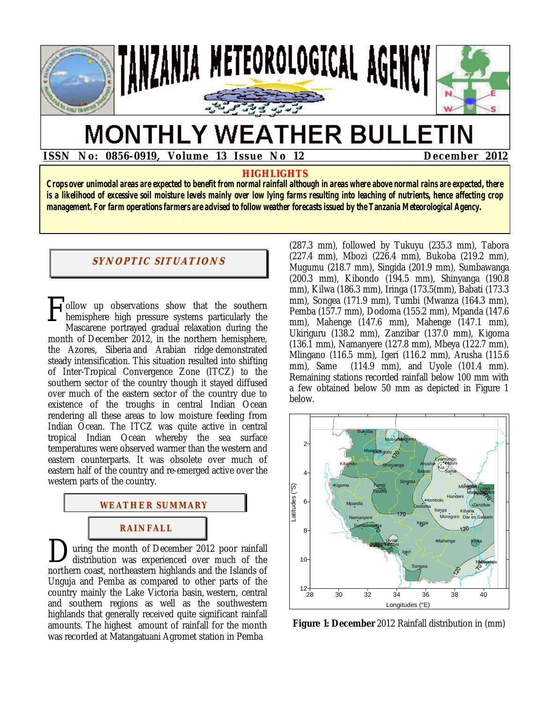

# **MONTHLY WEATHER BULLETIN**

 **ISSN No: 0856-0919, Volume 13 Issue No 12 December 2012** 

### **HIGHLIGHTS**

**Crops over unimodal areas are expected to benefit from normal rainfall although in areas where above normal rains are expected, there is a likelihood of excessive soil moisture levels mainly over low lying farms resulting into leaching of nutrients, hence affecting crop management. For farm operations farmers are advised to follow weather forecasts issued by the Tanzania Meteorological Agency.** 

## **SYNOPTIC SITUATIONS**

ollow up observations show that the southern **hemisphere high pressure systems particularly the Mascarene portrayed gradual relaxation during the** Mascarene portrayed gradual relaxation during the month of December 2012, in the northern hemisphere, the Azores, Siberia and Arabian ridge demonstrated steady intensification. This situation resulted into shifting of Inter-Tropical Convergence Zone (ITCZ) to the southern sector of the country though it stayed diffused over much of the eastern sector of the country due to existence of the troughs in central Indian Ocean rendering all these areas to low moisture feeding from Indian Ocean. The ITCZ was quite active in central tropical Indian Ocean whereby the sea surface temperatures were observed warmer than the western and eastern counterparts. It was obsolete over much of eastern half of the country and re-emerged active over the western parts of the country.



uring the month of December 2012 poor rainfall distribution was experienced over much of the **D**uring the month of December 2012 poor rainfall distribution was experienced over much of the northern coast, northeastern highlands and the Islands of Unguja and Pemba as compared to other parts of the country mainly the Lake Victoria basin, western, central and southern regions as well as the southwestern highlands that generally received quite significant rainfall amounts. The highest amount of rainfall for the month was recorded at Matangatuani Agromet station in Pemba

(287.3 mm), followed by Tukuyu (235.3 mm), Tabora (227.4 mm), Mbozi (226.4 mm), Bukoba (219.2 mm), Mugumu (218.7 mm), Singida (201.9 mm), Sumbawanga (200.3 mm), Kibondo (194.5 mm), Shinyanga (190.8 mm), Kilwa (186.3 mm), Iringa (173.5(mm), Babati (173.3 mm), Songea (171.9 mm), Tumbi (Mwanza (164.3 mm), Pemba (157.7 mm), Dodoma (155.2 mm), Mpanda (147.6 mm), Mahenge (147.6 mm), Mahenge (147.1 mm), Ukiriguru (138.2 mm), Zanzibar (137.0 mm), Kigoma (136.1 mm), Namanyere (127.8 mm), Mbeya (122.7 mm), Mlingano (116.5 mm), Igeri (116.2 mm), Arusha (115.6 mm), Same (114.9 mm), and Uyole (101.4 mm). Remaining stations recorded rainfall below 100 mm with a few obtained below 50 mm as depicted in Figure 1 below.



**Figure 1: December** 2012 Rainfall distribution in (mm)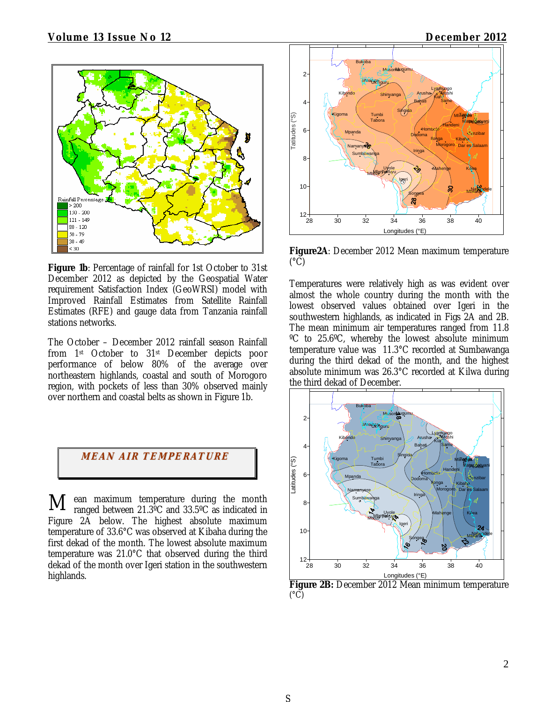

Figure 1b: Percentage of rainfall for 1st October to 31st December 2012 as depicted by the Geospatial Water requirement Satisfaction Index (GeoWRSI) model with Improved Rainfall Estimates from Satellite Rainfall Estimates (RFE) and gauge data from Tanzania rainfall stations networks.

The October – December 2012 rainfall season Rainfall from 1st October to 31st December depicts poor performance of below 80% of the average over northeastern highlands, coastal and south of Morogoro region, with pockets of less than 30% observed mainly over northern and coastal belts as shown in Figure 1b.



ean maximum temperature during the month ranged between 21.3ºC and 33.5ºC as indicated in Figure 2A below. The highest absolute maximum temperature of 33.6°C was observed at Kibaha during the first dekad of the month. The lowest absolute maximum temperature was 21.0°C that observed during the third dekad of the month over Igeri station in the southwestern highlands. M



**Figure2A**: December 2012 Mean maximum temperature  $(C)$ 

Temperatures were relatively high as was evident over almost the whole country during the month with the lowest observed values obtained over Igeri in the southwestern highlands, as indicated in Figs 2A and 2B. The mean minimum air temperatures ranged from 11.8 ºC to 25.6ºC, whereby the lowest absolute minimum temperature value was 11.3°C recorded at Sumbawanga during the third dekad of the month, and the highest absolute minimum was 26.3°C recorded at Kilwa during the third dekad of December.



 $({}^{\circ}\bar{C})$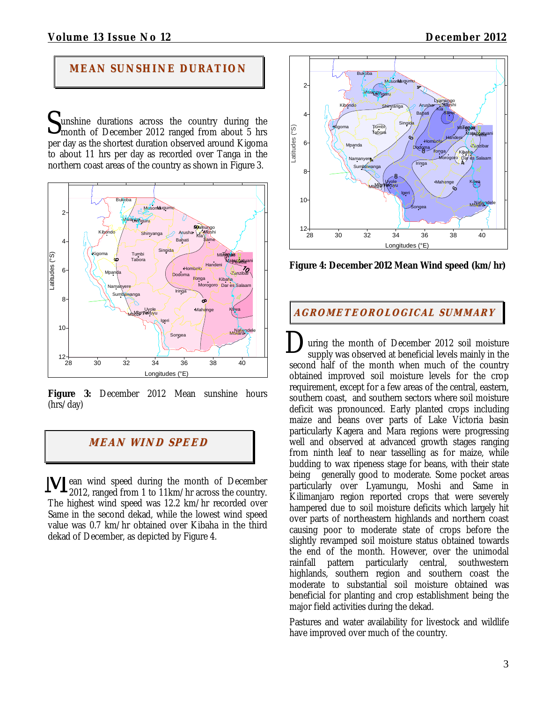# **MEAN SUNS HI NE DURATION**

unshine durations across the country during the Sunshine durations across the country during the month of December 2012 ranged from about 5 hrs per day as the shortest duration observed around Kigoma to about 11 hrs per day as recorded over Tanga in the northern coast areas of the country as shown in Figure 3.



Figure 3: December 2012 Mean sunshine hours (hrs/day)

# **MEAN WI ND SPEED**

ean wind speed during the month of December 2012, ranged from 1 to 11km/hr across the country. The highest wind speed was 12.2 km/hr recorded over Same in the second dekad, while the lowest wind speed value was 0.7 km/hr obtained over Kibaha in the third dekad of December, as depicted by Figure 4. M



**Figure 4: December 2012 Mean Wind speed (km/hr)** 

## **AGROMETEOROLOGICAL SUMMARY**

uring the month of December 2012 soil moisture supply was observed at beneficial levels mainly in the second half of the month when much of the country obtained improved soil moisture levels for the crop requirement, except for a few areas of the central, eastern, southern coast, and southern sectors where soil moisture deficit was pronounced. Early planted crops including maize and beans over parts of Lake Victoria basin particularly Kagera and Mara regions were progressing well and observed at advanced growth stages ranging from ninth leaf to near tasselling as for maize, while budding to wax ripeness stage for beans, with their state being generally good to moderate. Some pocket areas particularly over Lyamungu, Moshi and Same in Kilimanjaro region reported crops that were severely hampered due to soil moisture deficits which largely hit over parts of northeastern highlands and northern coast causing poor to moderate state of crops before the slightly revamped soil moisture status obtained towards the end of the month. However, over the unimodal rainfall pattern particularly central, southwestern highlands, southern region and southern coast the moderate to substantial soil moisture obtained was beneficial for planting and crop establishment being the major field activities during the dekad. D

Pastures and water availability for livestock and wildlife have improved over much of the country.